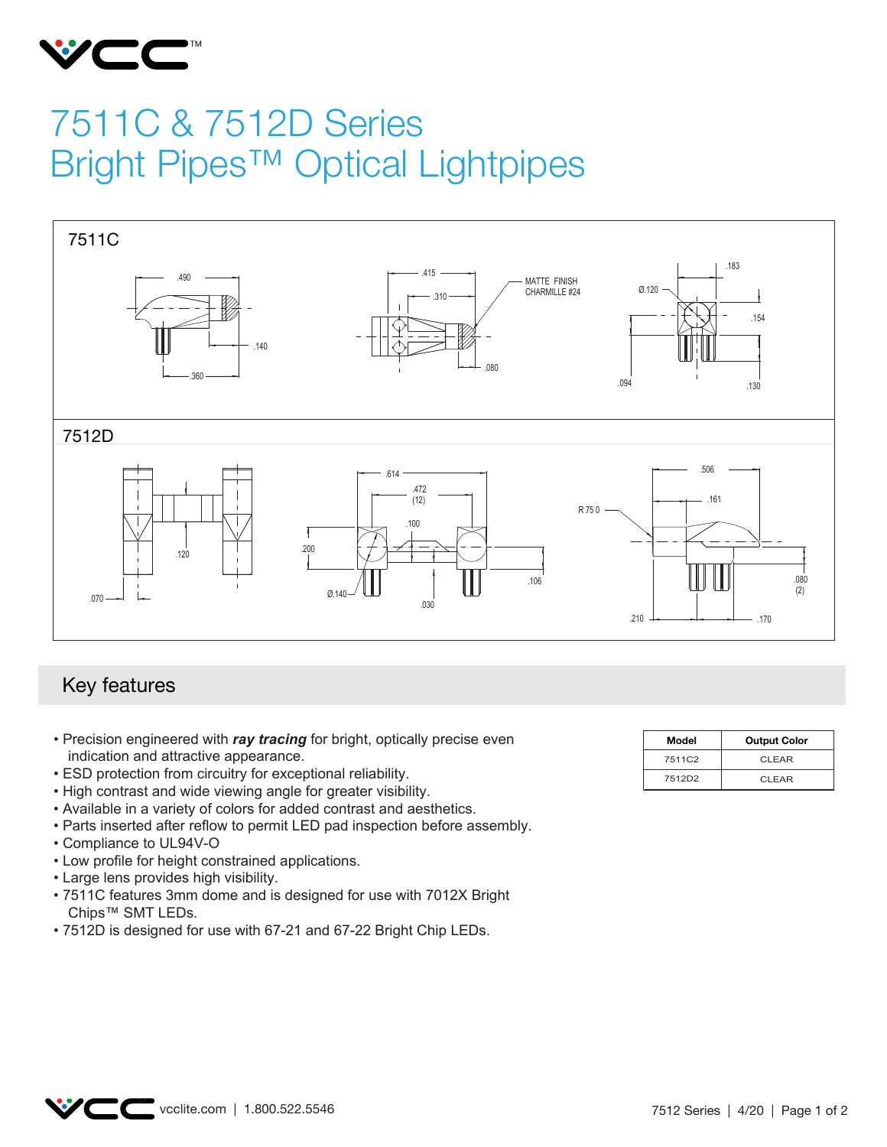

## 7511C & 7512D Series Bright Pipes™ Optical Lightpipes



## Key features

- Precision engineered with *ray tracing* for bright, optically precise even indication and attractive appearance.
- ESD protection from circuitry for exceptional reliability.
- High contrast and wide viewing angle for greater visibility.
- Available in a variety of colors for added contrast and aesthetics.
- Parts inserted after reflow to permit LED pad inspection before assembly.
- Compliance to UL94V-O
- Low profile for height constrained applications.
- Large lens provides high visibility.
- 7511C features 3mm dome and is designed for use with 7012X Bright Chips™ SMT LEDs.
- 7512D is designed for use with 67-21 and 67-22 Bright Chip LEDs.

| Model  | <b>Output Color</b> |
|--------|---------------------|
| 7511C2 | CLEAR               |
| 7512D2 | CLEAR               |